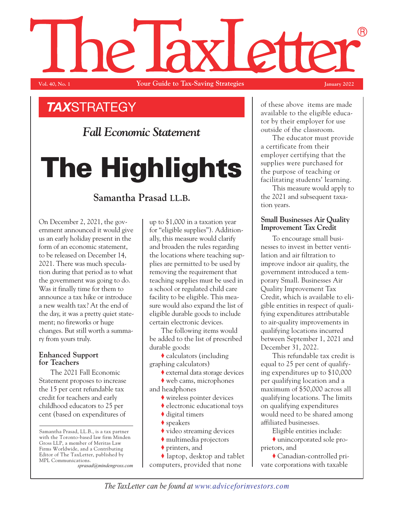# (R) NP. **Vol. 40, No. 1 Your Guide to Tax-Saving Strategies January 2022**

## *TAX*STRATEGY

*Fall Economic Statement*

# **The Highlights**

### **Samantha Prasad LL.B.**

On December 2, 2021, the government announced it would give us an early holiday present in the form of an economic statement, to be released on December 14, 2021. There was much speculation during that period as to what the government was going to do. Was it finally time for them to announce a tax hike or introduce a new wealth tax? At the end of the day, it was a pretty quiet statement; no fireworks or huge changes. But still worth a summary from yours truly.

#### **Enhanced Support for Teachers**

The 2021 Fall Economic Statement proposes to increase the 15 per cent refundable tax credit for teachers and early childhood educators to 25 per cent (based on expenditures of

Samantha Prasad, LL.B., is a tax partner with the Toronto-based law firm Minden Gross LLP, a member of Meritas Law Firms Worldwide, and a Contributing Editor of The TaxLetter, published by MPL Communications.

*sprasad@mindengross.com*

up to \$1,000 in a taxation year for "eligible supplies"). Additionally, this measure would clarify and broaden the rules regarding the locations where teaching supplies are permitted to be used by removing the requirement that teaching supplies must be used in a school or regulated child care facility to be eligible. This measure would also expand the list of eligible durable goods to include certain electronic devices.

The following items would be added to the list of prescribed durable goods:

♦ calculators (including graphing calculators)

♦ external data storage devices

♦ web cams, microphones and headphones

- ♦ wireless pointer devices
- ♦ electronic educational toys
- $\blacklozenge$  digital timers
- ◆ speakers
- ♦ video streaming devices
- ♦ multimedia projectors
- ♦ printers, and

♦ laptop, desktop and tablet computers, provided that none

of these above items are made available to the eligible educator by their employer for use outside of the classroom.

The educator must provide a certificate from their employer certifying that the supplies were purchased for the purpose of teaching or facilitating students' learning.

This measure would apply to the 2021 and subsequent taxation years.

#### **Small Businesses Air Quality Improvement Tax Credit**

To encourage small businesses to invest in better ventilation and air filtration to improve indoor air quality, the government introduced a temporary Small. Businesses Air Quality Improvement Tax Credit, which is available to eligible entities in respect of qualifying expenditures attributable to air-quality improvements in qualifying locations incurred between September 1, 2021 and December 31, 2022.

This refundable tax credit is equal to 25 per cent of qualifying expenditures up to \$10,000 per qualifying location and a maximum of \$50,000 across all qualifying locations. The limits on qualifying expenditures would need to be shared among affiliated businesses.

Eligible entities include:

♦ unincorporated sole proprietors, and

♦ Canadian-controlled private corporations with taxable